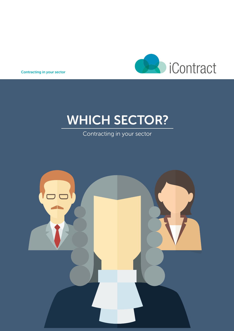

Contracting in your sector

# WHICH SECTOR?

Contracting in your sector

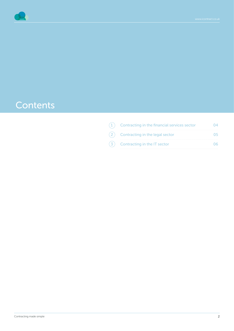

### **Contents**

|  | Contracting in the financial services sector |  |
|--|----------------------------------------------|--|
|  | Contracting in the legal sector              |  |
|  | Contracting in the IT sector                 |  |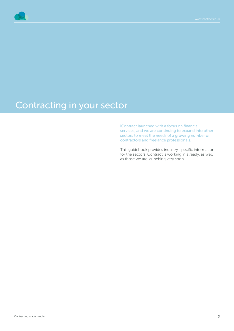

# Contracting in your sector

iContract launched with a focus on financial services, and we are continuing to expand into other sectors to meet the needs of a growing number of contractors and freelance professionals.

This guidebook provides industry-specific information for the sectors iContract is working in already, as well as those we are launching very soon.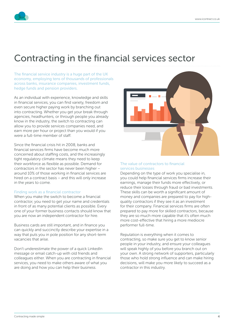

### Contracting in the financial services sector

The financial service industry is a huge part of the UK economy, employing tens of thousands of professionals across banks, insurance companies, investment funds, hedge funds and pension providers.

As an individual with experience, knowledge and skills in financial services, you can find variety, freedom and even secure higher paying work by branching out into contracting. Whether you get your break through agencies, headhunters, or through people you already know in the industry, the switch to contracting can allow you to provide services companies need, and earn more per hour or project than you would if you were a full-time member of staff.

Since the financial crisis hit in 2008, banks and financial services firms have become much more concerned about staffing costs, and the increasingly tight regulatory climate means they need to keep their workforce as flexible as possible. Demand for contractors in the sector has never been higher – around 10% of those working in financial services are hired on a contract basis – and this will only increase in the years to come.

### Finding work as a financial contractor

When you make the switch to become a financial contractor, you need to get your name and credentials in front of as many potential clients as possible. Every one of your former business contacts should know that you are now an independent contractor for hire.

Business cards are still important, and in finance you can quickly and succinctly describe your expertise in a way that puts you in pole position for any short-term vacancies that arise.

Don't underestimate the power of a quick LinkedIn message or email catch-up with old friends and colleagues either. When you are contracting in financial services, you need to make others aware of what you are doing and how you can help their business.



#### The value of contractors to financial services businesses

Depending on the type of work you specialise in, you could help financial services firms increase their earnings, manage their funds more effectively, or reduce their losses through fraud or bad investments. These skills can be worth a significant amount of money and companies are prepared to pay for highquality contractors if they see it as an investment for their company. Financial services firms are often prepared to pay more for skilled contractors, because they are so much more capable that it's often much more cost-effective that hiring a more mediocre performer full-time.

Reputation is everything when it comes to contracting, so make sure you get to know senior people in your industry, and ensure your colleagues will speak highly of you before you branch out on your own. A strong network of supporters, particularly those who hold strong influence and can make hiring decisions, will make you more likely to succeed as a contractor in this industry.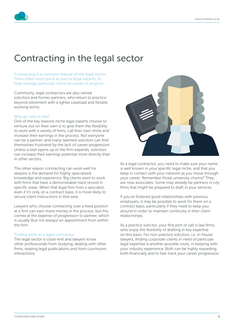## Contracting in the legal sector

Contracting is a common feature of the legal sector. Firms often need quick access to legal experts, to help manage particular client accounts or projects.

Commonly, legal contractors are also retired solicitors and former partners, who return to practice beyond retirement with a lighter caseload and flexible working terms.

### Why go solo in law?

One of the key reasons niche legal experts choose to venture out on their own is to give them the flexibility to work with a variety of firms, call their own shots and increase their earnings in the process. Not everyone can be a partner, and many talented solicitors can find themselves frustrated by the lack of career progression. Unless a seat opens up or the firm expands, solicitors can increase their earnings potential more directly than in other sectors.

The other reason contracting can work well for lawyers is the demand for highly-specialised knowledge and experience. Big clients want to work with firms that have a demonstrable track record in specific areas. When that legal firm hires a specialist, even if it's only on a contract basis, it is more likely to secure client instructions in that area.

Lawyers who choose contracting over a fixed position at a firm can earn more money in the process, but this comes at the expense of progression to partner, which is usually (but not always) an appointment from within the firm.

### Finding work as a legal contractor

The legal sector is close-knit and lawyers know other professionals from studying, dealing with other firms, reading legal publications and from courtroom interactions.



As a legal contractor, you need to make sure your name is well known in your specific legal niche, and that you keep in contact with your network as you move through your career. Remember those university chums? They are now associates. Some may already be partners in city firms that might be prepared to draft in your services.

If you've fostered good relationships with previous employers, it may be possible to work for them on a contract basis, particularly if they need to keep you around in order to maintain continuity in their client relationships.

As a practice solicitor, your first port of call is law firms, who enjoy the flexibility of drafting in key expertise on this basis. For non-practice solicitors, i.e. in-house lawyers, finding corporate clients in need of particular legal expertise is another possible route, in keeping with your industry experience. Both can be highly rewarding, both financially and to fast-track your career progression.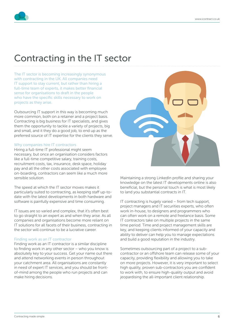

### Contracting in the IT sector

The IT sector is becoming increasingly synonymous with contracting in the UK. All companies need IT support to stay current, but rather than hiring a full-time team of experts, it makes better financial sense for organisations to draft in the people who have the specific skills necessary to work on projects as they arise.

Outsourcing IT support in this way is becoming much more common, both on a retainer and a project basis. Contracting is big business for IT specialists, and gives them the opportunity to tackle a variety of projects, big and small, and it they do a good job, to end up as the preferred source of IT expertise for the clients they serve.

### Why companies hire IT contractors

Hiring a full-time IT professional might seem necessary, but once an organisation considers factors like a full-time competitive salary, training costs, recruitment costs, tax, insurance, desk space, holiday pay and all the other costs associated with employee on-boarding, contractors can seem like a much more sensible solution.

The speed at which the IT sector moves makes it particularly suited to contracting, as keeping staff up-todate with the latest developments in both hardware and software is painfully expensive and time consuming.

IT issues are so varied and complex, that it's often best to go straight to an expert as and when they arise. As all companies and organisations become more reliant on IT solutions for all facets of their business, contracting in the sector will continue to be a lucrative career.

#### Finding work as an IT contractor

Finding work as an IT contractor is a similar discipline to finding work in any other sector – who you know is absolutely key to your success. Get your name out there and attend networking events in person throughout your catchment area. All organisations are constantly in need of expert IT services, and you should be frontof-mind among the people who run projects and can make hiring decisions.



Maintaining a strong LinkedIn profile and sharing your knowledge on the latest IT developments online is also beneficial, but the personal touch is what is most likely to land you substantial contracts in IT.

IT contracting is hugely varied – from tech support, project managers and IT securities experts, who often work in-house, to designers and programmers who can often work on a remote and freelance basis. Some IT contractors take on multiple projects in the same time period. Time and project management skills are key, and keeping clients informed of your capacity and ability to deliver can help you to manage expectations and build a good reputation in the industry.

Sometimes outsourcing part of a project to a subcontractor or an offshore team can release some of your capacity, providing flexibility and allowing you to take on more projects. However, it is very important to select high quality, proven sub-contractors you are confident to work with, to ensure high-quality output and avoid jeopardising the all-important client relationship.